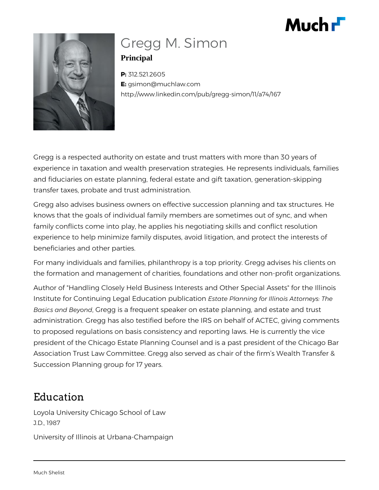# Much **F**



## Gregg M. Simon **Principal**

**P:** 312.521.2605 **E:** gsimon@muchlaw.com http://www.linkedin.com/pub/gregg-simon/11/a74/167

Gregg is a respected authority on estate and trust matters with more than 30 years of experience in taxation and wealth preservation strategies. He represents individuals, families and fiduciaries on estate planning, federal estate and gift taxation, generation-skipping transfer taxes, probate and trust administration.

Gregg also advises business owners on effective succession planning and tax structures. He knows that the goals of individual family members are sometimes out of sync, and when family conflicts come into play, he applies his negotiating skills and conflict resolution experience to help minimize family disputes, avoid litigation, and protect the interests of beneficiaries and other parties.

For many individuals and families, philanthropy is a top priority. Gregg advises his clients on the formation and management of charities, foundations and other non-profit organizations.

Author of "Handling Closely Held Business Interests and Other Special Assets" for the Illinois Institute for Continuing Legal Education publication *Estate Planning for Illinois Attorneys: The Basics and Beyond*, Gregg is a frequent speaker on estate planning, and estate and trust administration. Gregg has also testified before the IRS on behalf of ACTEC, giving comments to proposed regulations on basis consistency and reporting laws. He is currently the vice president of the Chicago Estate Planning Counsel and is a past president of the Chicago Bar Association Trust Law Committee. Gregg also served as chair of the firm's Wealth Transfer & Succession Planning group for 17 years.

## Education

Loyola University Chicago School of Law J.D., 1987

University of Illinois at Urbana-Champaign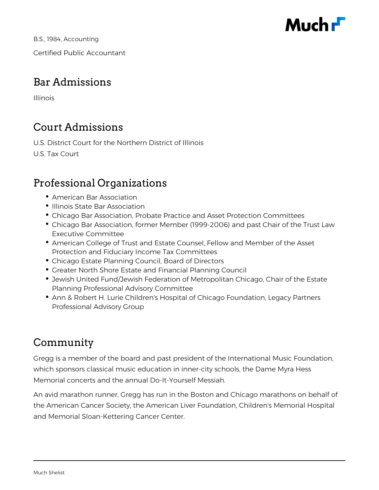

B.S., 1984, Accounting Certified Public Accountant

### Bar Admissions

Illinois

## Court Admissions

U.S. District Court for the Northern District of Illinois

U.S. Tax Court

### Professional Organizations

- American Bar Association
- Illinois State Bar Association
- Chicago Bar Association, Probate Practice and Asset Protection Committees
- Chicago Bar Association, former Member (1999-2006) and past Chair of the Trust Law Executive Committee
- American College of Trust and Estate Counsel, Fellow and Member of the Asset Protection and Fiduciary Income Tax Committees
- Chicago Estate Planning Council, Board of Directors
- Greater North Shore Estate and Financial Planning Council
- Jewish United Fund/Jewish Federation of Metropolitan Chicago, Chair of the Estate Planning Professional Advisory Committee
- Ann & Robert H. Lurie Children's Hospital of Chicago Foundation, Legacy Partners Professional Advisory Group

### Community

Gregg is a member of the board and past president of the International Music Foundation, which sponsors classical music education in inner-city schools, the Dame Myra Hess Memorial concerts and the annual Do-It-Yourself Messiah.

An avid marathon runner, Gregg has run in the Boston and Chicago marathons on behalf of the American Cancer Society, the American Liver Foundation, Children's Memorial Hospital and Memorial Sloan-Kettering Cancer Center.